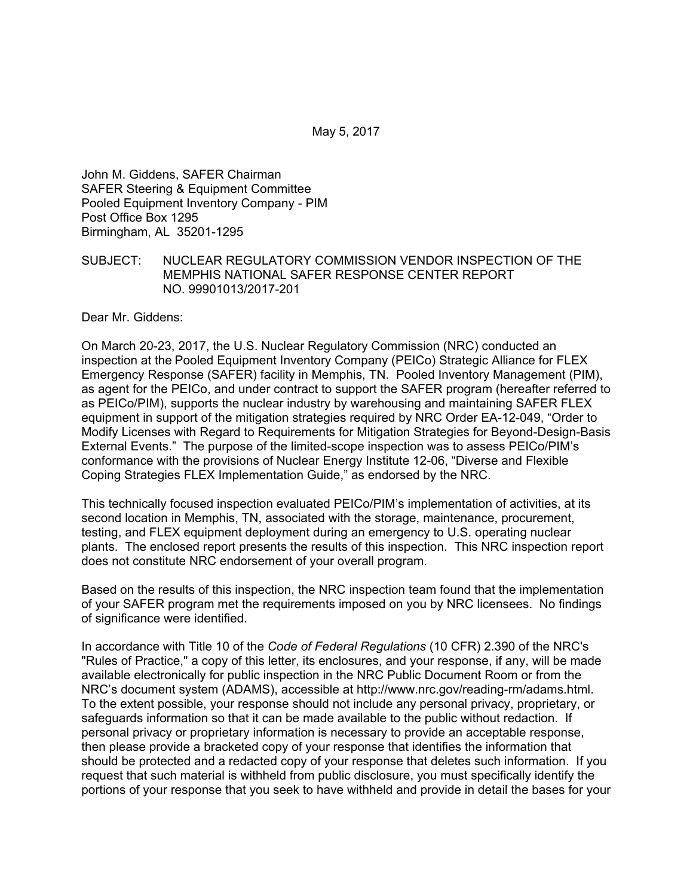May 5, 2017

John M. Giddens, SAFER Chairman SAFER Steering & Equipment Committee Pooled Equipment Inventory Company - PIM Post Office Box 1295 Birmingham, AL 35201-1295

### SUBJECT: NUCLEAR REGULATORY COMMISSION VENDOR INSPECTION OF THE MEMPHIS NATIONAL SAFER RESPONSE CENTER REPORT NO. 99901013/2017-201

Dear Mr. Giddens:

On March 20-23, 2017, the U.S. Nuclear Regulatory Commission (NRC) conducted an inspection at the Pooled Equipment Inventory Company (PEICo) Strategic Alliance for FLEX Emergency Response (SAFER) facility in Memphis, TN. Pooled Inventory Management (PIM), as agent for the PEICo, and under contract to support the SAFER program (hereafter referred to as PEICo/PIM), supports the nuclear industry by warehousing and maintaining SAFER FLEX equipment in support of the mitigation strategies required by NRC Order EA-12-049, "Order to Modify Licenses with Regard to Requirements for Mitigation Strategies for Beyond-Design-Basis External Events." The purpose of the limited-scope inspection was to assess PEICo/PIM's conformance with the provisions of Nuclear Energy Institute 12-06, "Diverse and Flexible Coping Strategies FLEX Implementation Guide," as endorsed by the NRC.

This technically focused inspection evaluated PEICo/PIM's implementation of activities, at its second location in Memphis, TN, associated with the storage, maintenance, procurement, testing, and FLEX equipment deployment during an emergency to U.S. operating nuclear plants. The enclosed report presents the results of this inspection. This NRC inspection report does not constitute NRC endorsement of your overall program.

Based on the results of this inspection, the NRC inspection team found that the implementation of your SAFER program met the requirements imposed on you by NRC licensees. No findings of significance were identified.

In accordance with Title 10 of the *Code of Federal Regulations* (10 CFR) 2.390 of the NRC's "Rules of Practice," a copy of this letter, its enclosures, and your response, if any, will be made available electronically for public inspection in the NRC Public Document Room or from the NRC's document system (ADAMS), accessible at http://www.nrc.gov/reading-rm/adams.html. To the extent possible, your response should not include any personal privacy, proprietary, or safeguards information so that it can be made available to the public without redaction. If personal privacy or proprietary information is necessary to provide an acceptable response, then please provide a bracketed copy of your response that identifies the information that should be protected and a redacted copy of your response that deletes such information. If you request that such material is withheld from public disclosure, you must specifically identify the portions of your response that you seek to have withheld and provide in detail the bases for your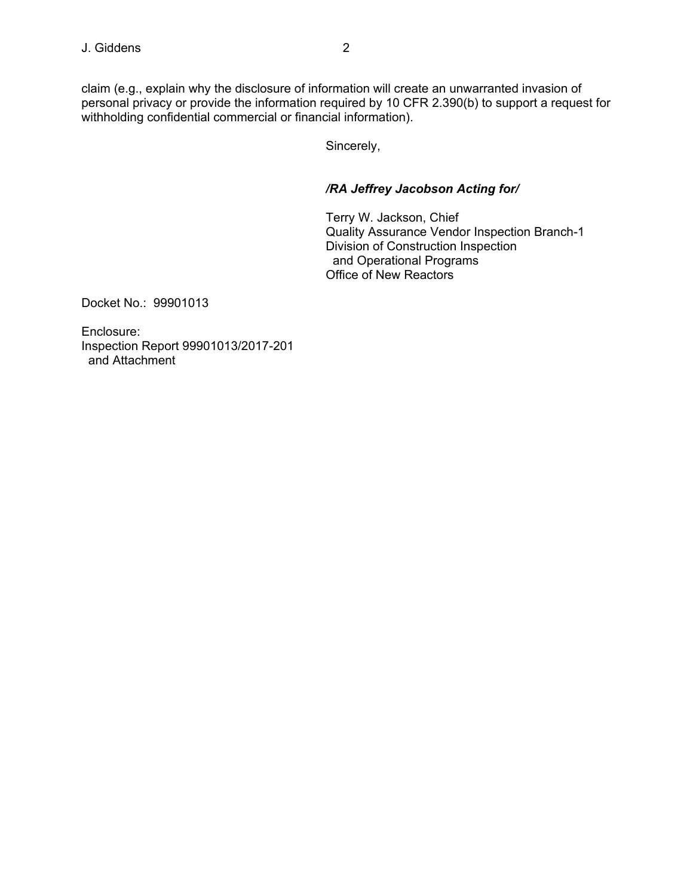claim (e.g., explain why the disclosure of information will create an unwarranted invasion of personal privacy or provide the information required by 10 CFR 2.390(b) to support a request for withholding confidential commercial or financial information).

Sincerely,

# */RA Jeffrey Jacobson Acting for/*

Terry W. Jackson, Chief Quality Assurance Vendor Inspection Branch-1 Division of Construction Inspection and Operational Programs Office of New Reactors

Docket No.: 99901013

Enclosure: Inspection Report 99901013/2017-201 and Attachment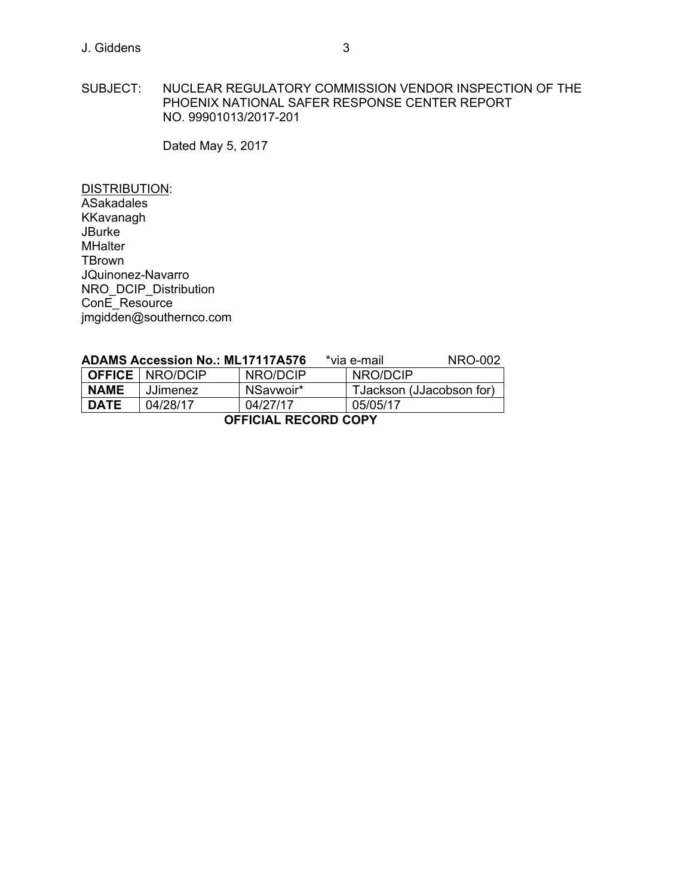### SUBJECT: NUCLEAR REGULATORY COMMISSION VENDOR INSPECTION OF THE PHOENIX NATIONAL SAFER RESPONSE CENTER REPORT NO. 99901013/2017-201

Dated May 5, 2017

DISTRIBUTION: **ASakadales** KKavanagh **JBurke MHalter TBrown** JQuinonez-Navarro NRO\_DCIP\_Distribution ConE\_Resource jmgidden@southernco.com

| <b>ADAMS Accession No.: ML17117A576</b> |                          |           | *via e-mail              | NRO-002 |
|-----------------------------------------|--------------------------|-----------|--------------------------|---------|
|                                         | <b>OFFICE</b>   NRO/DCIP | NRO/DCIP  | NRO/DCIP                 |         |
| <b>NAME</b>                             | <b>JJimenez</b>          | NSavwoir* | TJackson (JJacobson for) |         |
| <b>DATE</b>                             | 04/28/17                 | 04/27/17  | 05/05/17                 |         |
| <b>OFFICIAL RECORD COPY</b>             |                          |           |                          |         |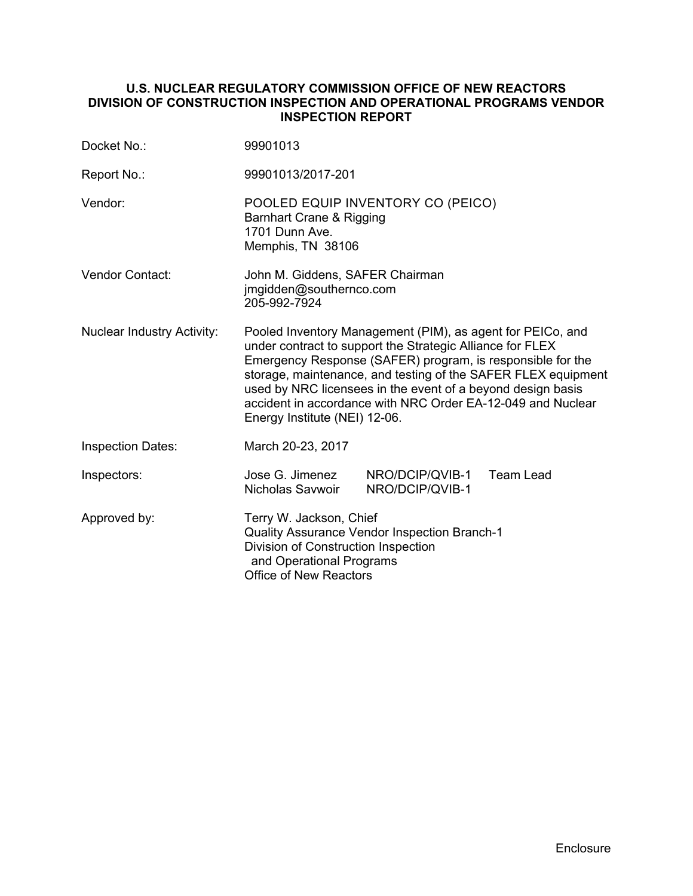# **U.S. NUCLEAR REGULATORY COMMISSION OFFICE OF NEW REACTORS DIVISION OF CONSTRUCTION INSPECTION AND OPERATIONAL PROGRAMS VENDOR INSPECTION REPORT**

| Docket No.:                       | 99901013                                                                                                                                                                                                                                                                                                                                                                                                              |                                    |                  |
|-----------------------------------|-----------------------------------------------------------------------------------------------------------------------------------------------------------------------------------------------------------------------------------------------------------------------------------------------------------------------------------------------------------------------------------------------------------------------|------------------------------------|------------------|
| Report No.:                       | 99901013/2017-201                                                                                                                                                                                                                                                                                                                                                                                                     |                                    |                  |
| Vendor:                           | POOLED EQUIP INVENTORY CO (PEICO)<br>Barnhart Crane & Rigging<br>1701 Dunn Ave.<br>Memphis, TN 38106                                                                                                                                                                                                                                                                                                                  |                                    |                  |
| <b>Vendor Contact:</b>            | John M. Giddens, SAFER Chairman<br>jmgidden@southernco.com<br>205-992-7924                                                                                                                                                                                                                                                                                                                                            |                                    |                  |
| <b>Nuclear Industry Activity:</b> | Pooled Inventory Management (PIM), as agent for PEICo, and<br>under contract to support the Strategic Alliance for FLEX<br>Emergency Response (SAFER) program, is responsible for the<br>storage, maintenance, and testing of the SAFER FLEX equipment<br>used by NRC licensees in the event of a beyond design basis<br>accident in accordance with NRC Order EA-12-049 and Nuclear<br>Energy Institute (NEI) 12-06. |                                    |                  |
| <b>Inspection Dates:</b>          | March 20-23, 2017                                                                                                                                                                                                                                                                                                                                                                                                     |                                    |                  |
| Inspectors:                       | Jose G. Jimenez<br>Nicholas Savwoir                                                                                                                                                                                                                                                                                                                                                                                   | NRO/DCIP/QVIB-1<br>NRO/DCIP/QVIB-1 | <b>Team Lead</b> |
| Approved by:                      | Terry W. Jackson, Chief<br>Quality Assurance Vendor Inspection Branch-1<br>Division of Construction Inspection<br>and Operational Programs<br><b>Office of New Reactors</b>                                                                                                                                                                                                                                           |                                    |                  |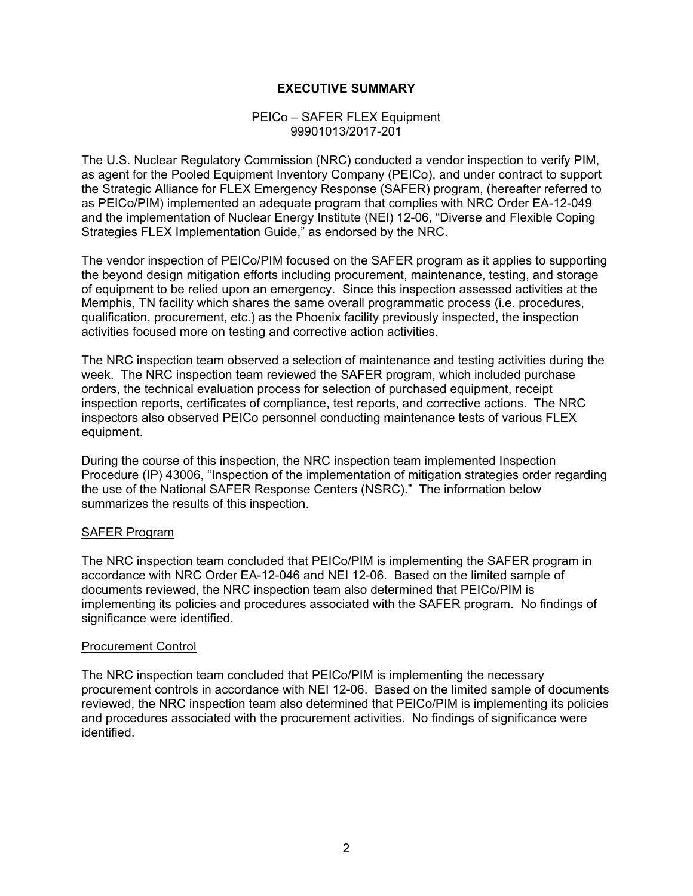# **EXECUTIVE SUMMARY**

#### PEICo – SAFER FLEX Equipment 99901013/2017-201

The U.S. Nuclear Regulatory Commission (NRC) conducted a vendor inspection to verify PIM, as agent for the Pooled Equipment Inventory Company (PEICo), and under contract to support the Strategic Alliance for FLEX Emergency Response (SAFER) program, (hereafter referred to as PEICo/PIM) implemented an adequate program that complies with NRC Order EA-12-049 and the implementation of Nuclear Energy Institute (NEI) 12-06, "Diverse and Flexible Coping Strategies FLEX Implementation Guide," as endorsed by the NRC.

The vendor inspection of PEICo/PIM focused on the SAFER program as it applies to supporting the beyond design mitigation efforts including procurement, maintenance, testing, and storage of equipment to be relied upon an emergency. Since this inspection assessed activities at the Memphis, TN facility which shares the same overall programmatic process (i.e. procedures, qualification, procurement, etc.) as the Phoenix facility previously inspected, the inspection activities focused more on testing and corrective action activities.

The NRC inspection team observed a selection of maintenance and testing activities during the week. The NRC inspection team reviewed the SAFER program, which included purchase orders, the technical evaluation process for selection of purchased equipment, receipt inspection reports, certificates of compliance, test reports, and corrective actions. The NRC inspectors also observed PEICo personnel conducting maintenance tests of various FLEX equipment.

During the course of this inspection, the NRC inspection team implemented Inspection Procedure (IP) 43006, "Inspection of the implementation of mitigation strategies order regarding the use of the National SAFER Response Centers (NSRC)." The information below summarizes the results of this inspection.

#### SAFER Program

The NRC inspection team concluded that PEICo/PIM is implementing the SAFER program in accordance with NRC Order EA-12-046 and NEI 12-06. Based on the limited sample of documents reviewed, the NRC inspection team also determined that PEICo/PIM is implementing its policies and procedures associated with the SAFER program. No findings of significance were identified.

#### Procurement Control

The NRC inspection team concluded that PEICo/PIM is implementing the necessary procurement controls in accordance with NEI 12-06. Based on the limited sample of documents reviewed, the NRC inspection team also determined that PEICo/PIM is implementing its policies and procedures associated with the procurement activities. No findings of significance were identified.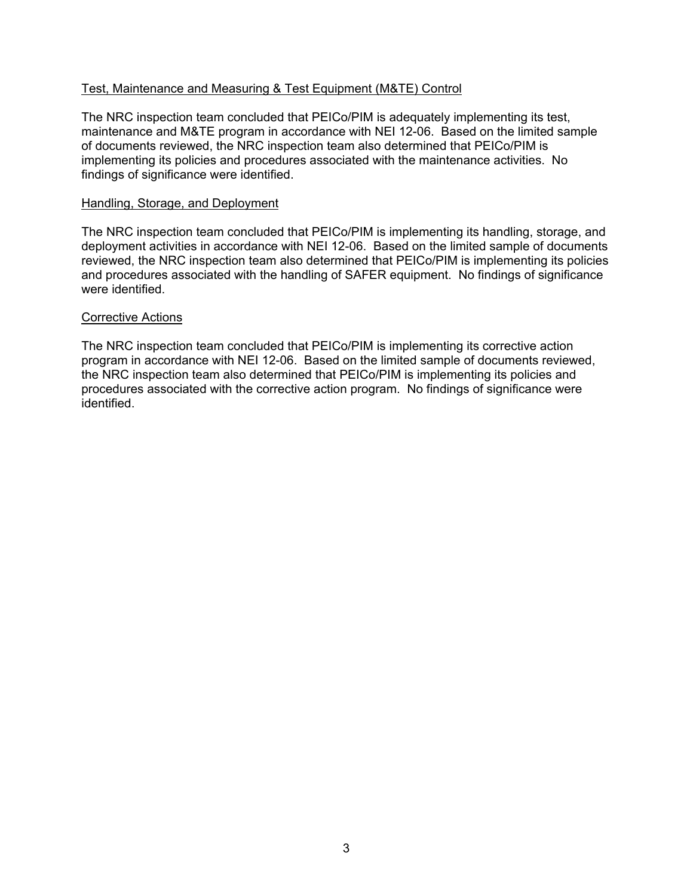# Test, Maintenance and Measuring & Test Equipment (M&TE) Control

The NRC inspection team concluded that PEICo/PIM is adequately implementing its test, maintenance and M&TE program in accordance with NEI 12-06. Based on the limited sample of documents reviewed, the NRC inspection team also determined that PEICo/PIM is implementing its policies and procedures associated with the maintenance activities. No findings of significance were identified.

#### Handling, Storage, and Deployment

The NRC inspection team concluded that PEICo/PIM is implementing its handling, storage, and deployment activities in accordance with NEI 12-06. Based on the limited sample of documents reviewed, the NRC inspection team also determined that PEICo/PIM is implementing its policies and procedures associated with the handling of SAFER equipment. No findings of significance were identified.

#### Corrective Actions

The NRC inspection team concluded that PEICo/PIM is implementing its corrective action program in accordance with NEI 12-06. Based on the limited sample of documents reviewed, the NRC inspection team also determined that PEICo/PIM is implementing its policies and procedures associated with the corrective action program. No findings of significance were identified.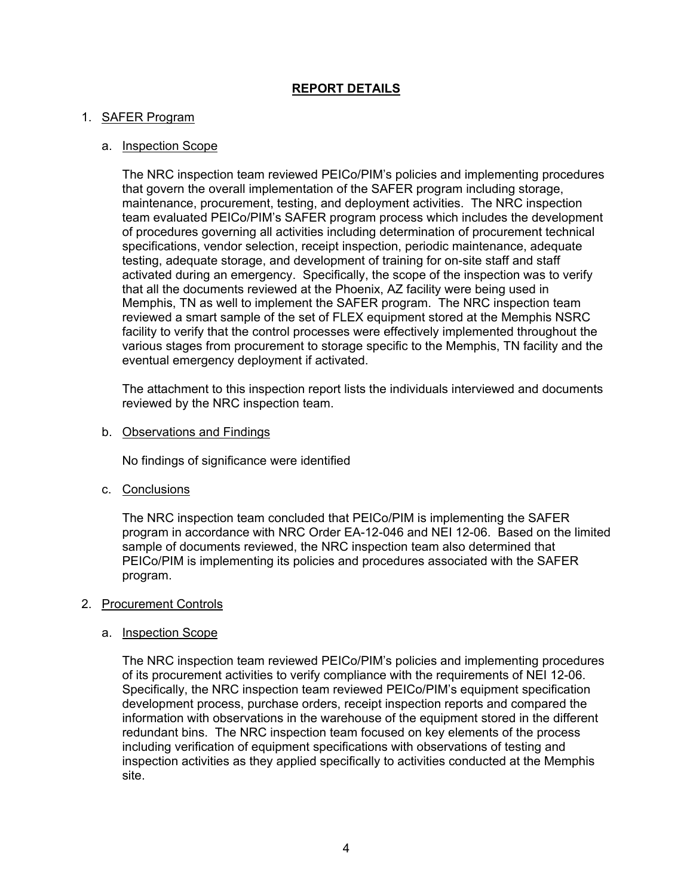# **REPORT DETAILS**

# 1. SAFER Program

# a. Inspection Scope

The NRC inspection team reviewed PEICo/PIM's policies and implementing procedures that govern the overall implementation of the SAFER program including storage, maintenance, procurement, testing, and deployment activities. The NRC inspection team evaluated PEICo/PIM's SAFER program process which includes the development of procedures governing all activities including determination of procurement technical specifications, vendor selection, receipt inspection, periodic maintenance, adequate testing, adequate storage, and development of training for on-site staff and staff activated during an emergency. Specifically, the scope of the inspection was to verify that all the documents reviewed at the Phoenix, AZ facility were being used in Memphis, TN as well to implement the SAFER program. The NRC inspection team reviewed a smart sample of the set of FLEX equipment stored at the Memphis NSRC facility to verify that the control processes were effectively implemented throughout the various stages from procurement to storage specific to the Memphis, TN facility and the eventual emergency deployment if activated.

The attachment to this inspection report lists the individuals interviewed and documents reviewed by the NRC inspection team.

b. Observations and Findings

No findings of significance were identified

c. Conclusions

The NRC inspection team concluded that PEICo/PIM is implementing the SAFER program in accordance with NRC Order EA-12-046 and NEI 12-06. Based on the limited sample of documents reviewed, the NRC inspection team also determined that PEICo/PIM is implementing its policies and procedures associated with the SAFER program.

#### 2. Procurement Controls

a. Inspection Scope

The NRC inspection team reviewed PEICo/PIM's policies and implementing procedures of its procurement activities to verify compliance with the requirements of NEI 12-06. Specifically, the NRC inspection team reviewed PEICo/PIM's equipment specification development process, purchase orders, receipt inspection reports and compared the information with observations in the warehouse of the equipment stored in the different redundant bins. The NRC inspection team focused on key elements of the process including verification of equipment specifications with observations of testing and inspection activities as they applied specifically to activities conducted at the Memphis site.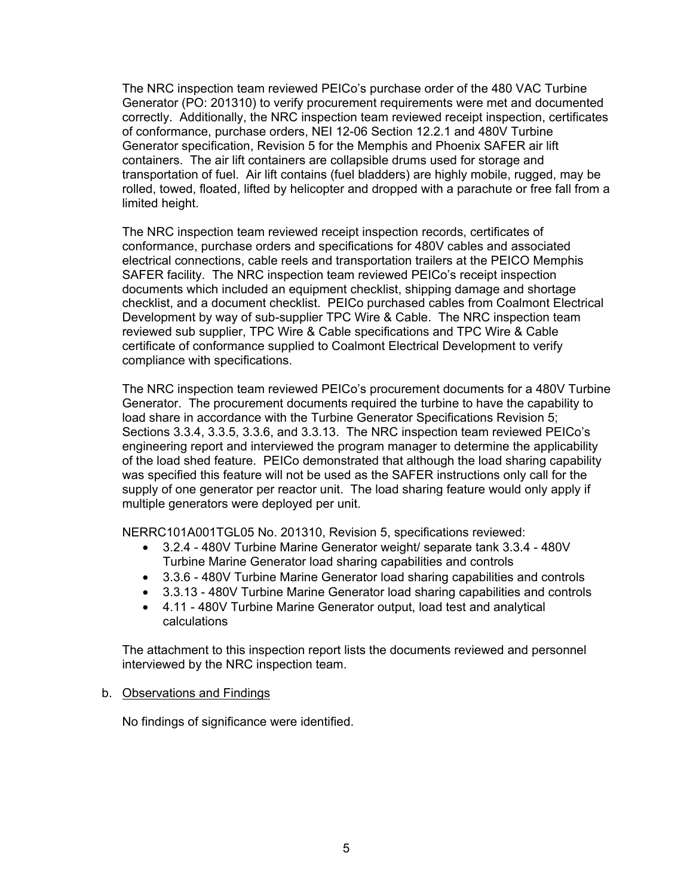The NRC inspection team reviewed PEICo's purchase order of the 480 VAC Turbine Generator (PO: 201310) to verify procurement requirements were met and documented correctly. Additionally, the NRC inspection team reviewed receipt inspection, certificates of conformance, purchase orders, NEI 12-06 Section 12.2.1 and 480V Turbine Generator specification, Revision 5 for the Memphis and Phoenix SAFER air lift containers. The air lift containers are collapsible drums used for storage and transportation of fuel. Air lift contains (fuel bladders) are highly mobile, rugged, may be rolled, towed, floated, lifted by helicopter and dropped with a parachute or free fall from a limited height.

The NRC inspection team reviewed receipt inspection records, certificates of conformance, purchase orders and specifications for 480V cables and associated electrical connections, cable reels and transportation trailers at the PEICO Memphis SAFER facility. The NRC inspection team reviewed PEICo's receipt inspection documents which included an equipment checklist, shipping damage and shortage checklist, and a document checklist. PEICo purchased cables from Coalmont Electrical Development by way of sub-supplier TPC Wire & Cable. The NRC inspection team reviewed sub supplier, TPC Wire & Cable specifications and TPC Wire & Cable certificate of conformance supplied to Coalmont Electrical Development to verify compliance with specifications.

The NRC inspection team reviewed PEICo's procurement documents for a 480V Turbine Generator. The procurement documents required the turbine to have the capability to load share in accordance with the Turbine Generator Specifications Revision 5; Sections 3.3.4, 3.3.5, 3.3.6, and 3.3.13. The NRC inspection team reviewed PEICo's engineering report and interviewed the program manager to determine the applicability of the load shed feature. PEICo demonstrated that although the load sharing capability was specified this feature will not be used as the SAFER instructions only call for the supply of one generator per reactor unit. The load sharing feature would only apply if multiple generators were deployed per unit.

NERRC101A001TGL05 No. 201310, Revision 5, specifications reviewed:

- 3.2.4 480V Turbine Marine Generator weight/ separate tank 3.3.4 480V Turbine Marine Generator load sharing capabilities and controls
- 3.3.6 480V Turbine Marine Generator load sharing capabilities and controls
- 3.3.13 480V Turbine Marine Generator load sharing capabilities and controls
- 4.11 480V Turbine Marine Generator output, load test and analytical calculations

The attachment to this inspection report lists the documents reviewed and personnel interviewed by the NRC inspection team.

#### b. Observations and Findings

No findings of significance were identified.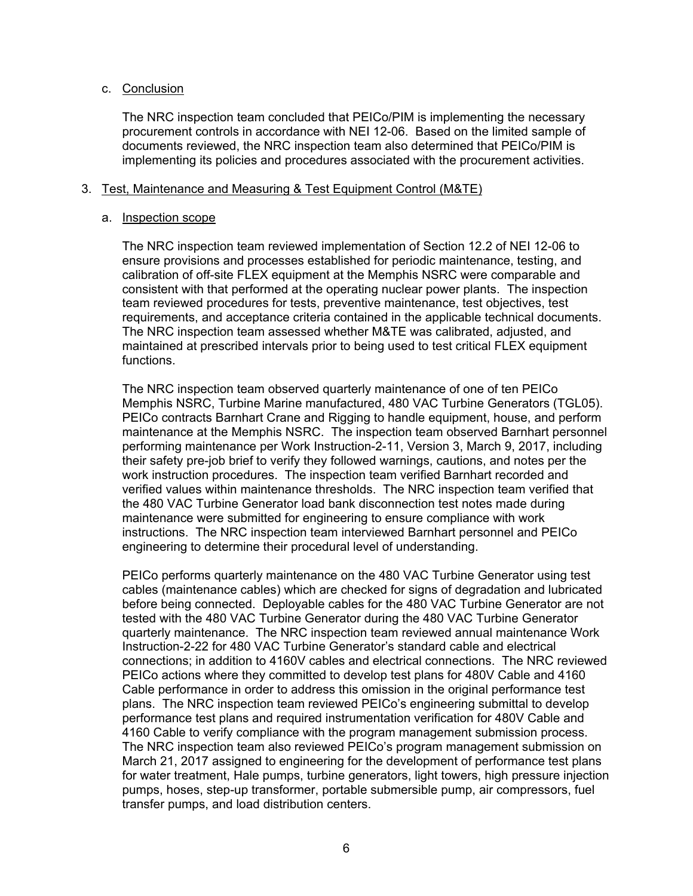### c. Conclusion

The NRC inspection team concluded that PEICo/PIM is implementing the necessary procurement controls in accordance with NEI 12-06. Based on the limited sample of documents reviewed, the NRC inspection team also determined that PEICo/PIM is implementing its policies and procedures associated with the procurement activities.

### 3. Test, Maintenance and Measuring & Test Equipment Control (M&TE)

### a. Inspection scope

The NRC inspection team reviewed implementation of Section 12.2 of NEI 12-06 to ensure provisions and processes established for periodic maintenance, testing, and calibration of off-site FLEX equipment at the Memphis NSRC were comparable and consistent with that performed at the operating nuclear power plants. The inspection team reviewed procedures for tests, preventive maintenance, test objectives, test requirements, and acceptance criteria contained in the applicable technical documents. The NRC inspection team assessed whether M&TE was calibrated, adjusted, and maintained at prescribed intervals prior to being used to test critical FLEX equipment functions.

The NRC inspection team observed quarterly maintenance of one of ten PEICo Memphis NSRC, Turbine Marine manufactured, 480 VAC Turbine Generators (TGL05). PEICo contracts Barnhart Crane and Rigging to handle equipment, house, and perform maintenance at the Memphis NSRC. The inspection team observed Barnhart personnel performing maintenance per Work Instruction-2-11, Version 3, March 9, 2017, including their safety pre-job brief to verify they followed warnings, cautions, and notes per the work instruction procedures. The inspection team verified Barnhart recorded and verified values within maintenance thresholds. The NRC inspection team verified that the 480 VAC Turbine Generator load bank disconnection test notes made during maintenance were submitted for engineering to ensure compliance with work instructions. The NRC inspection team interviewed Barnhart personnel and PEICo engineering to determine their procedural level of understanding.

PEICo performs quarterly maintenance on the 480 VAC Turbine Generator using test cables (maintenance cables) which are checked for signs of degradation and lubricated before being connected. Deployable cables for the 480 VAC Turbine Generator are not tested with the 480 VAC Turbine Generator during the 480 VAC Turbine Generator quarterly maintenance. The NRC inspection team reviewed annual maintenance Work Instruction-2-22 for 480 VAC Turbine Generator's standard cable and electrical connections; in addition to 4160V cables and electrical connections. The NRC reviewed PEICo actions where they committed to develop test plans for 480V Cable and 4160 Cable performance in order to address this omission in the original performance test plans. The NRC inspection team reviewed PEICo's engineering submittal to develop performance test plans and required instrumentation verification for 480V Cable and 4160 Cable to verify compliance with the program management submission process. The NRC inspection team also reviewed PEICo's program management submission on March 21, 2017 assigned to engineering for the development of performance test plans for water treatment, Hale pumps, turbine generators, light towers, high pressure injection pumps, hoses, step-up transformer, portable submersible pump, air compressors, fuel transfer pumps, and load distribution centers.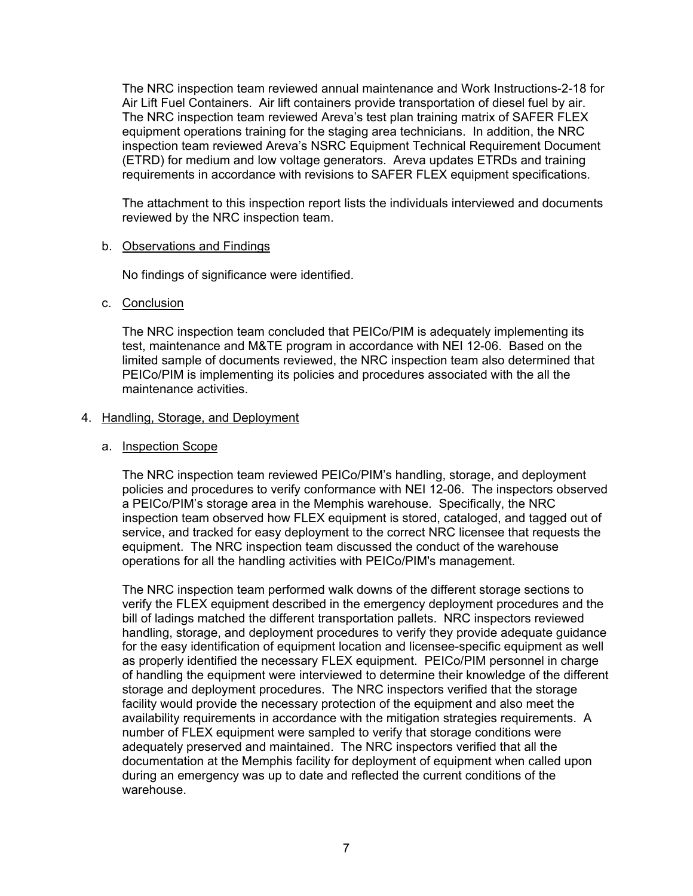The NRC inspection team reviewed annual maintenance and Work Instructions-2-18 for Air Lift Fuel Containers. Air lift containers provide transportation of diesel fuel by air. The NRC inspection team reviewed Areva's test plan training matrix of SAFER FLEX equipment operations training for the staging area technicians. In addition, the NRC inspection team reviewed Areva's NSRC Equipment Technical Requirement Document (ETRD) for medium and low voltage generators. Areva updates ETRDs and training requirements in accordance with revisions to SAFER FLEX equipment specifications.

The attachment to this inspection report lists the individuals interviewed and documents reviewed by the NRC inspection team.

#### b. Observations and Findings

No findings of significance were identified.

# c. Conclusion

The NRC inspection team concluded that PEICo/PIM is adequately implementing its test, maintenance and M&TE program in accordance with NEI 12-06. Based on the limited sample of documents reviewed, the NRC inspection team also determined that PEICo/PIM is implementing its policies and procedures associated with the all the maintenance activities.

# 4. Handling, Storage, and Deployment

### a. Inspection Scope

The NRC inspection team reviewed PEICo/PIM's handling, storage, and deployment policies and procedures to verify conformance with NEI 12-06. The inspectors observed a PEICo/PIM's storage area in the Memphis warehouse. Specifically, the NRC inspection team observed how FLEX equipment is stored, cataloged, and tagged out of service, and tracked for easy deployment to the correct NRC licensee that requests the equipment. The NRC inspection team discussed the conduct of the warehouse operations for all the handling activities with PEICo/PIM's management.

The NRC inspection team performed walk downs of the different storage sections to verify the FLEX equipment described in the emergency deployment procedures and the bill of ladings matched the different transportation pallets. NRC inspectors reviewed handling, storage, and deployment procedures to verify they provide adequate guidance for the easy identification of equipment location and licensee-specific equipment as well as properly identified the necessary FLEX equipment. PEICo/PIM personnel in charge of handling the equipment were interviewed to determine their knowledge of the different storage and deployment procedures. The NRC inspectors verified that the storage facility would provide the necessary protection of the equipment and also meet the availability requirements in accordance with the mitigation strategies requirements. A number of FLEX equipment were sampled to verify that storage conditions were adequately preserved and maintained. The NRC inspectors verified that all the documentation at the Memphis facility for deployment of equipment when called upon during an emergency was up to date and reflected the current conditions of the warehouse.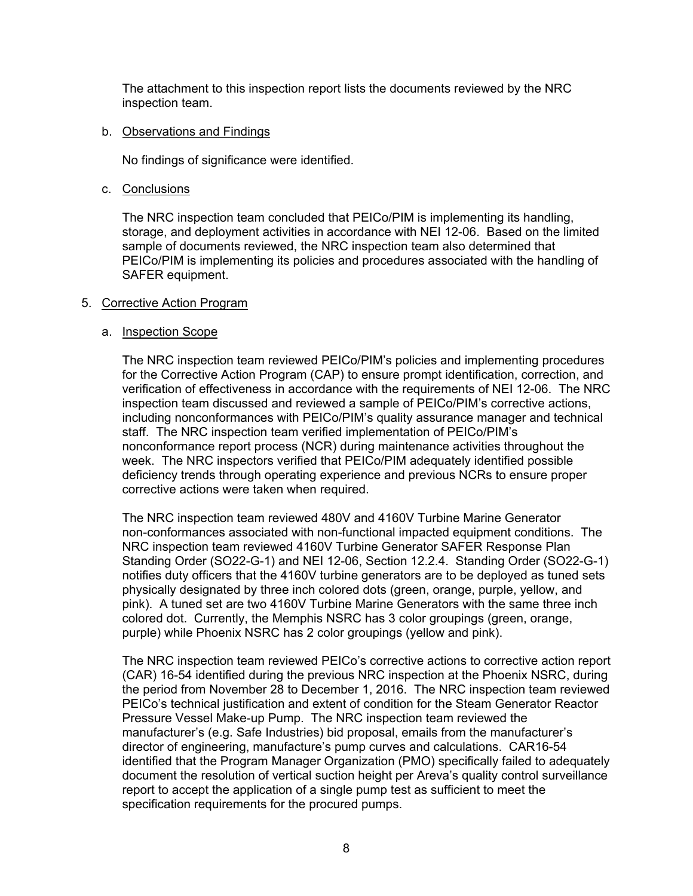The attachment to this inspection report lists the documents reviewed by the NRC inspection team.

### b. Observations and Findings

No findings of significance were identified.

c. Conclusions

The NRC inspection team concluded that PEICo/PIM is implementing its handling, storage, and deployment activities in accordance with NEI 12-06. Based on the limited sample of documents reviewed, the NRC inspection team also determined that PEICo/PIM is implementing its policies and procedures associated with the handling of SAFER equipment.

# 5. Corrective Action Program

# a. Inspection Scope

The NRC inspection team reviewed PEICo/PIM's policies and implementing procedures for the Corrective Action Program (CAP) to ensure prompt identification, correction, and verification of effectiveness in accordance with the requirements of NEI 12-06. The NRC inspection team discussed and reviewed a sample of PEICo/PIM's corrective actions, including nonconformances with PEICo/PIM's quality assurance manager and technical staff. The NRC inspection team verified implementation of PEICo/PIM's nonconformance report process (NCR) during maintenance activities throughout the week. The NRC inspectors verified that PEICo/PIM adequately identified possible deficiency trends through operating experience and previous NCRs to ensure proper corrective actions were taken when required.

The NRC inspection team reviewed 480V and 4160V Turbine Marine Generator non-conformances associated with non-functional impacted equipment conditions. The NRC inspection team reviewed 4160V Turbine Generator SAFER Response Plan Standing Order (SO22-G-1) and NEI 12-06, Section 12.2.4. Standing Order (SO22-G-1) notifies duty officers that the 4160V turbine generators are to be deployed as tuned sets physically designated by three inch colored dots (green, orange, purple, yellow, and pink). A tuned set are two 4160V Turbine Marine Generators with the same three inch colored dot. Currently, the Memphis NSRC has 3 color groupings (green, orange, purple) while Phoenix NSRC has 2 color groupings (yellow and pink).

The NRC inspection team reviewed PEICo's corrective actions to corrective action report (CAR) 16-54 identified during the previous NRC inspection at the Phoenix NSRC, during the period from November 28 to December 1, 2016. The NRC inspection team reviewed PEICo's technical justification and extent of condition for the Steam Generator Reactor Pressure Vessel Make-up Pump. The NRC inspection team reviewed the manufacturer's (e.g. Safe Industries) bid proposal, emails from the manufacturer's director of engineering, manufacture's pump curves and calculations. CAR16-54 identified that the Program Manager Organization (PMO) specifically failed to adequately document the resolution of vertical suction height per Areva's quality control surveillance report to accept the application of a single pump test as sufficient to meet the specification requirements for the procured pumps.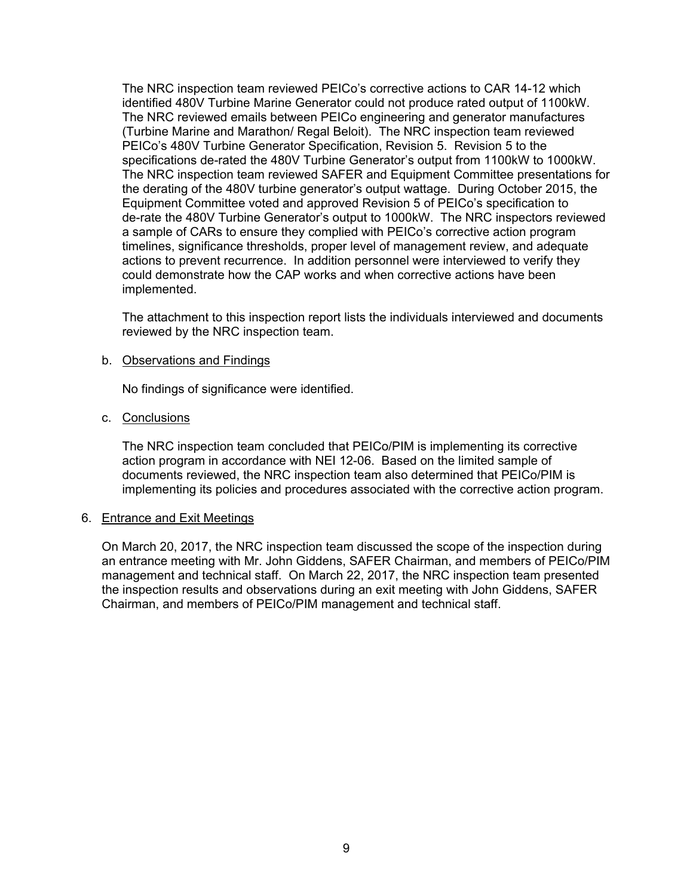The NRC inspection team reviewed PEICo's corrective actions to CAR 14-12 which identified 480V Turbine Marine Generator could not produce rated output of 1100kW. The NRC reviewed emails between PEICo engineering and generator manufactures (Turbine Marine and Marathon/ Regal Beloit). The NRC inspection team reviewed PEICo's 480V Turbine Generator Specification, Revision 5. Revision 5 to the specifications de-rated the 480V Turbine Generator's output from 1100kW to 1000kW. The NRC inspection team reviewed SAFER and Equipment Committee presentations for the derating of the 480V turbine generator's output wattage. During October 2015, the Equipment Committee voted and approved Revision 5 of PEICo's specification to de-rate the 480V Turbine Generator's output to 1000kW. The NRC inspectors reviewed a sample of CARs to ensure they complied with PEICo's corrective action program timelines, significance thresholds, proper level of management review, and adequate actions to prevent recurrence. In addition personnel were interviewed to verify they could demonstrate how the CAP works and when corrective actions have been implemented.

The attachment to this inspection report lists the individuals interviewed and documents reviewed by the NRC inspection team.

# b. Observations and Findings

No findings of significance were identified.

# c. Conclusions

The NRC inspection team concluded that PEICo/PIM is implementing its corrective action program in accordance with NEI 12-06. Based on the limited sample of documents reviewed, the NRC inspection team also determined that PEICo/PIM is implementing its policies and procedures associated with the corrective action program.

#### 6. Entrance and Exit Meetings

On March 20, 2017, the NRC inspection team discussed the scope of the inspection during an entrance meeting with Mr. John Giddens, SAFER Chairman, and members of PEICo/PIM management and technical staff. On March 22, 2017, the NRC inspection team presented the inspection results and observations during an exit meeting with John Giddens, SAFER Chairman, and members of PEICo/PIM management and technical staff.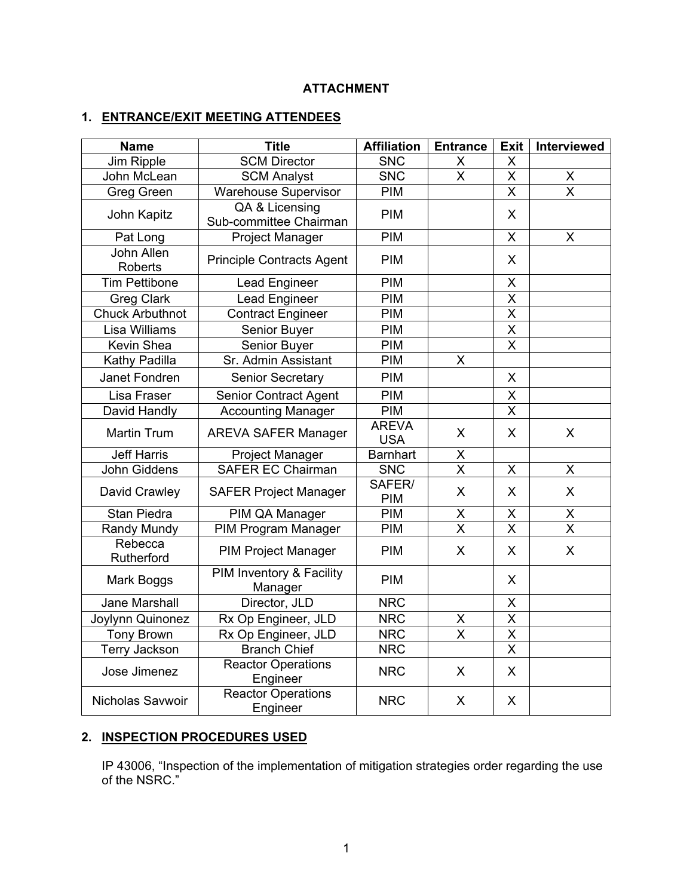# **ATTACHMENT**

# **1. ENTRANCE/EXIT MEETING ATTENDEES**

| <b>Name</b>                  | <b>Title</b>                             | <b>Affiliation</b>         | <b>Entrance</b>         | <b>Exit</b>             | Interviewed             |
|------------------------------|------------------------------------------|----------------------------|-------------------------|-------------------------|-------------------------|
| Jim Ripple                   | <b>SCM Director</b>                      | <b>SNC</b>                 | X                       | X                       |                         |
| John McLean                  | <b>SCM Analyst</b>                       | <b>SNC</b>                 | $\overline{\mathsf{x}}$ | X                       | $\pmb{\mathsf{X}}$      |
| <b>Greg Green</b>            | <b>Warehouse Supervisor</b>              | PIM                        |                         | X                       | $\overline{\mathsf{x}}$ |
| John Kapitz                  | QA & Licensing<br>Sub-committee Chairman | PIM                        |                         | X                       |                         |
| Pat Long                     | <b>Project Manager</b>                   | PIM                        |                         | X                       | X                       |
| John Allen<br><b>Roberts</b> | <b>Principle Contracts Agent</b>         | PIM                        |                         | X                       |                         |
| <b>Tim Pettibone</b>         | Lead Engineer                            | PIM                        |                         | X                       |                         |
| <b>Greg Clark</b>            | <b>Lead Engineer</b>                     | PIM                        |                         | $\overline{\mathsf{x}}$ |                         |
| <b>Chuck Arbuthnot</b>       | <b>Contract Engineer</b>                 | PIM                        |                         | $\overline{\mathsf{x}}$ |                         |
| Lisa Williams                | Senior Buyer                             | PIM                        |                         | $\overline{\mathsf{x}}$ |                         |
| Kevin Shea                   | Senior Buyer                             | PIM                        |                         | $\overline{\mathsf{x}}$ |                         |
| Kathy Padilla                | Sr. Admin Assistant                      | <b>PIM</b>                 | X                       |                         |                         |
| Janet Fondren                | <b>Senior Secretary</b>                  | <b>PIM</b>                 |                         | X                       |                         |
| Lisa Fraser                  | <b>Senior Contract Agent</b>             | PIM                        |                         | X                       |                         |
| David Handly                 | <b>Accounting Manager</b>                | <b>PIM</b>                 |                         | X                       |                         |
| <b>Martin Trum</b>           | <b>AREVA SAFER Manager</b>               | <b>AREVA</b><br><b>USA</b> | X                       | X                       | X                       |
| <b>Jeff Harris</b>           | Project Manager                          | <b>Barnhart</b>            | X                       |                         |                         |
| John Giddens                 | <b>SAFER EC Chairman</b>                 | <b>SNC</b>                 | $\overline{\mathsf{x}}$ | X                       | $\overline{X}$          |
| David Crawley                | <b>SAFER Project Manager</b>             | SAFER/<br>PIM              | X                       | X                       | X                       |
| Stan Piedra                  | PIM QA Manager                           | PIM                        | X                       | X                       | $\sf X$                 |
| Randy Mundy                  | <b>PIM Program Manager</b>               | <b>PIM</b>                 | $\overline{\mathsf{x}}$ | $\overline{\mathsf{x}}$ | $\overline{\mathsf{x}}$ |
| Rebecca<br>Rutherford        | <b>PIM Project Manager</b>               | <b>PIM</b>                 | X                       | X                       | X                       |
| Mark Boggs                   | PIM Inventory & Facility<br>Manager      | <b>PIM</b>                 |                         | X                       |                         |
| Jane Marshall                | Director, JLD                            | <b>NRC</b>                 |                         | X                       |                         |
| Joylynn Quinonez             | Rx Op Engineer, JLD                      | <b>NRC</b>                 | X                       | $\overline{\mathsf{x}}$ |                         |
| <b>Tony Brown</b>            | Rx Op Engineer, JLD                      | <b>NRC</b>                 | $\overline{\mathsf{x}}$ | $\overline{\mathsf{x}}$ |                         |
| <b>Terry Jackson</b>         | <b>Branch Chief</b>                      | <b>NRC</b>                 |                         | $\overline{\mathsf{x}}$ |                         |
| Jose Jimenez                 | <b>Reactor Operations</b><br>Engineer    | <b>NRC</b>                 | X                       | X                       |                         |
| Nicholas Savwoir             | <b>Reactor Operations</b><br>Engineer    | <b>NRC</b>                 | X                       | X                       |                         |

# **2. INSPECTION PROCEDURES USED**

IP 43006, "Inspection of the implementation of mitigation strategies order regarding the use of the NSRC."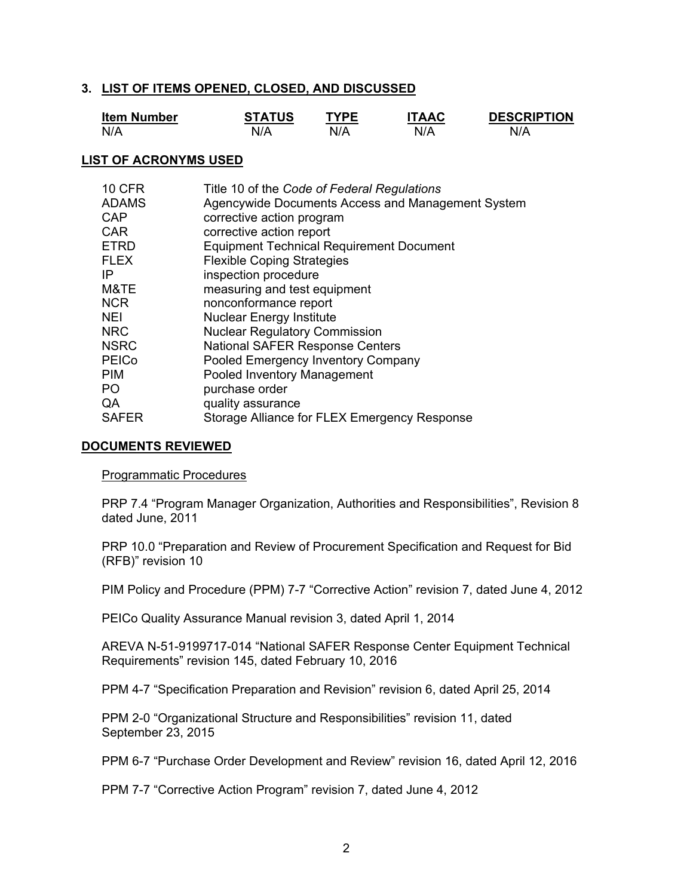#### **3. LIST OF ITEMS OPENED, CLOSED, AND DISCUSSED**

| <b>Item Number</b> | <b>STATUS</b> | TYPF | <b>TAAC</b> | <b>DESCRIPTION</b> |
|--------------------|---------------|------|-------------|--------------------|
| N/A                | N/A           |      | N/A         | N/A                |

### **LIST OF ACRONYMS USED**

| <b>10 CFR</b> | Title 10 of the Code of Federal Regulations       |
|---------------|---------------------------------------------------|
| <b>ADAMS</b>  | Agencywide Documents Access and Management System |
| CAP           | corrective action program                         |
| <b>CAR</b>    | corrective action report                          |
| <b>ETRD</b>   | <b>Equipment Technical Requirement Document</b>   |
| <b>FLEX</b>   | <b>Flexible Coping Strategies</b>                 |
| IP            | inspection procedure                              |
| M&TE          | measuring and test equipment                      |
| <b>NCR</b>    | nonconformance report                             |
| <b>NEI</b>    | <b>Nuclear Energy Institute</b>                   |
| <b>NRC</b>    | <b>Nuclear Regulatory Commission</b>              |
| <b>NSRC</b>   | <b>National SAFER Response Centers</b>            |
| <b>PEICo</b>  | Pooled Emergency Inventory Company                |
| <b>PIM</b>    | Pooled Inventory Management                       |
| PO.           | purchase order                                    |
| QA            | quality assurance                                 |
| <b>SAFER</b>  | Storage Alliance for FLEX Emergency Response      |

### **DOCUMENTS REVIEWED**

#### Programmatic Procedures

PRP 7.4 "Program Manager Organization, Authorities and Responsibilities", Revision 8 dated June, 2011

PRP 10.0 "Preparation and Review of Procurement Specification and Request for Bid (RFB)" revision 10

PIM Policy and Procedure (PPM) 7-7 "Corrective Action" revision 7, dated June 4, 2012

PEICo Quality Assurance Manual revision 3, dated April 1, 2014

AREVA N-51-9199717-014 "National SAFER Response Center Equipment Technical Requirements" revision 145, dated February 10, 2016

PPM 4-7 "Specification Preparation and Revision" revision 6, dated April 25, 2014

PPM 2-0 "Organizational Structure and Responsibilities" revision 11, dated September 23, 2015

PPM 6-7 "Purchase Order Development and Review" revision 16, dated April 12, 2016

PPM 7-7 "Corrective Action Program" revision 7, dated June 4, 2012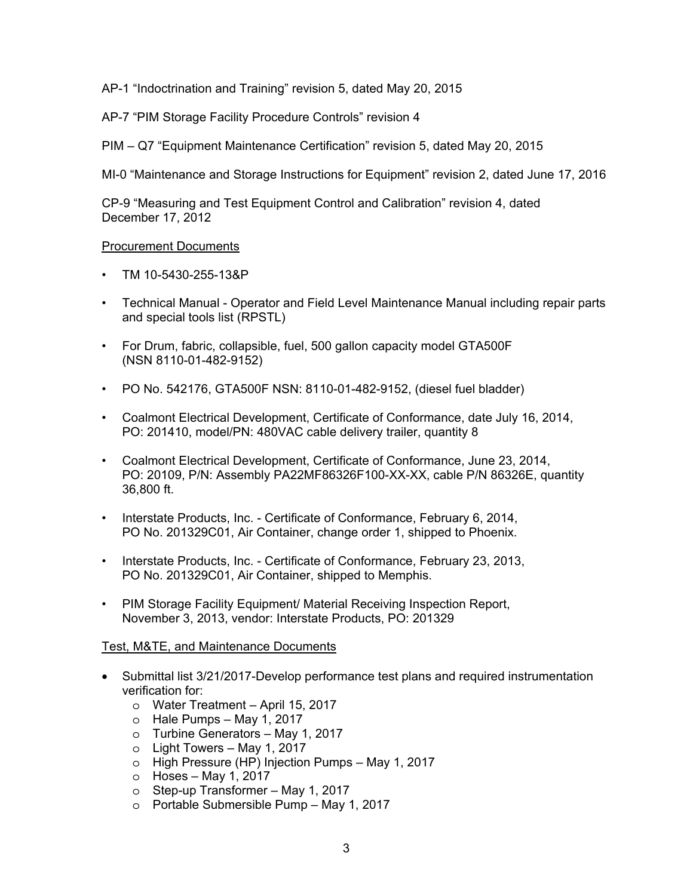AP-1 "Indoctrination and Training" revision 5, dated May 20, 2015

AP-7 "PIM Storage Facility Procedure Controls" revision 4

PIM – Q7 "Equipment Maintenance Certification" revision 5, dated May 20, 2015

MI-0 "Maintenance and Storage Instructions for Equipment" revision 2, dated June 17, 2016

CP-9 "Measuring and Test Equipment Control and Calibration" revision 4, dated December 17, 2012

# Procurement Documents

- TM 10-5430-255-13&P
- Technical Manual Operator and Field Level Maintenance Manual including repair parts and special tools list (RPSTL)
- For Drum, fabric, collapsible, fuel, 500 gallon capacity model GTA500F (NSN 8110-01-482-9152)
- PO No. 542176, GTA500F NSN: 8110-01-482-9152, (diesel fuel bladder)
- Coalmont Electrical Development, Certificate of Conformance, date July 16, 2014, PO: 201410, model/PN: 480VAC cable delivery trailer, quantity 8
- Coalmont Electrical Development, Certificate of Conformance, June 23, 2014, PO: 20109, P/N: Assembly PA22MF86326F100-XX-XX, cable P/N 86326E, quantity 36,800 ft.
- Interstate Products, Inc. Certificate of Conformance, February 6, 2014, PO No. 201329C01, Air Container, change order 1, shipped to Phoenix.
- Interstate Products, Inc. Certificate of Conformance, February 23, 2013, PO No. 201329C01, Air Container, shipped to Memphis.
- PIM Storage Facility Equipment/ Material Receiving Inspection Report, November 3, 2013, vendor: Interstate Products, PO: 201329

#### Test, M&TE, and Maintenance Documents

- Submittal list 3/21/2017-Develop performance test plans and required instrumentation verification for:
	- o Water Treatment April 15, 2017
	- $\circ$  Hale Pumps May 1, 2017
	- o Turbine Generators May 1, 2017
	- o Light Towers May 1, 2017
	- o High Pressure (HP) Injection Pumps May 1, 2017
	- $\circ$  Hoses May 1, 2017
	- o Step-up Transformer May 1, 2017
	- o Portable Submersible Pump May 1, 2017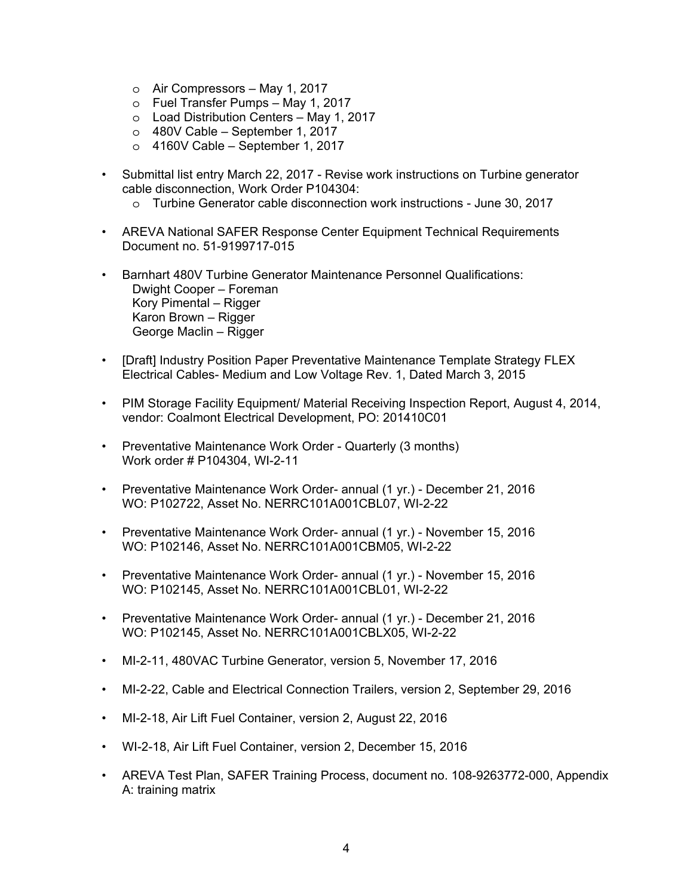- o Air Compressors May 1, 2017
- o Fuel Transfer Pumps May 1, 2017
- o Load Distribution Centers May 1, 2017
- $\circ$  480V Cable September 1, 2017
- $\circ$  4160V Cable September 1, 2017
- Submittal list entry March 22, 2017 Revise work instructions on Turbine generator cable disconnection, Work Order P104304:
	- o Turbine Generator cable disconnection work instructions June 30, 2017
- AREVA National SAFER Response Center Equipment Technical Requirements Document no. 51-9199717-015
- Barnhart 480V Turbine Generator Maintenance Personnel Qualifications: Dwight Cooper – Foreman Kory Pimental – Rigger Karon Brown – Rigger George Maclin – Rigger
- [Draft] Industry Position Paper Preventative Maintenance Template Strategy FLEX Electrical Cables- Medium and Low Voltage Rev. 1, Dated March 3, 2015
- PIM Storage Facility Equipment/ Material Receiving Inspection Report, August 4, 2014, vendor: Coalmont Electrical Development, PO: 201410C01
- Preventative Maintenance Work Order Quarterly (3 months) Work order # P104304, WI-2-11
- Preventative Maintenance Work Order- annual (1 yr.) December 21, 2016 WO: P102722, Asset No. NERRC101A001CBL07, WI-2-22
- Preventative Maintenance Work Order- annual (1 yr.) November 15, 2016 WO: P102146, Asset No. NERRC101A001CBM05, WI-2-22
- Preventative Maintenance Work Order- annual (1 yr.) November 15, 2016 WO: P102145, Asset No. NERRC101A001CBL01, WI-2-22
- Preventative Maintenance Work Order- annual (1 yr.) December 21, 2016 WO: P102145, Asset No. NERRC101A001CBLX05, WI-2-22
- MI-2-11, 480VAC Turbine Generator, version 5, November 17, 2016
- MI-2-22, Cable and Electrical Connection Trailers, version 2, September 29, 2016
- MI-2-18, Air Lift Fuel Container, version 2, August 22, 2016
- WI-2-18, Air Lift Fuel Container, version 2, December 15, 2016
- AREVA Test Plan, SAFER Training Process, document no. 108-9263772-000, Appendix A: training matrix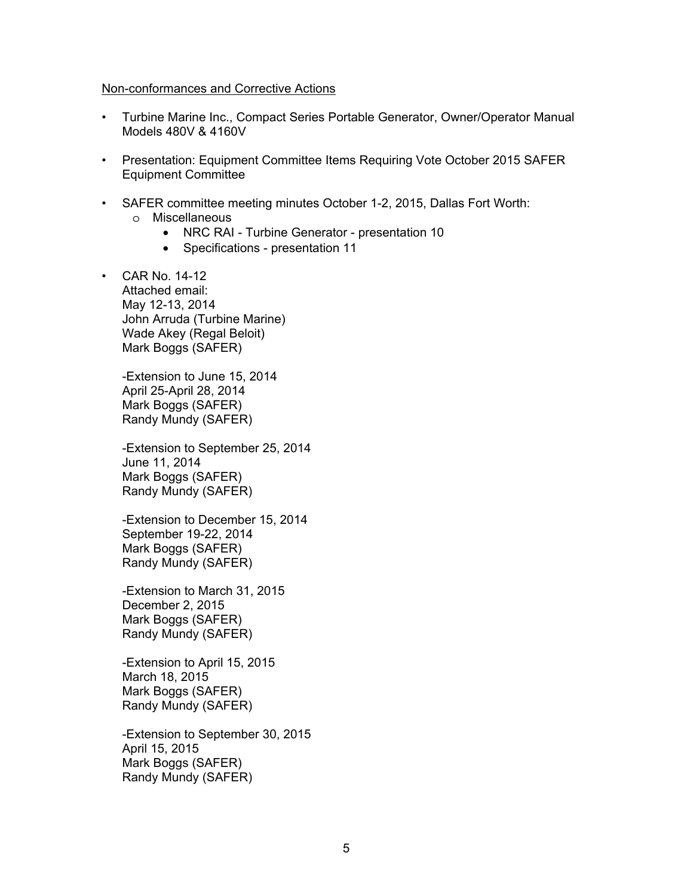#### Non-conformances and Corrective Actions

- Turbine Marine Inc., Compact Series Portable Generator, Owner/Operator Manual Models 480V & 4160V
- Presentation: Equipment Committee Items Requiring Vote October 2015 SAFER Equipment Committee
- SAFER committee meeting minutes October 1-2, 2015, Dallas Fort Worth: o Miscellaneous
	- NRC RAI Turbine Generator presentation 10
	- Specifications presentation 11
- CAR No. 14-12 Attached email: May 12-13, 2014 John Arruda (Turbine Marine) Wade Akey (Regal Beloit) Mark Boggs (SAFER)

-Extension to June 15, 2014 April 25-April 28, 2014 Mark Boggs (SAFER) Randy Mundy (SAFER)

-Extension to September 25, 2014 June 11, 2014 Mark Boggs (SAFER) Randy Mundy (SAFER)

-Extension to December 15, 2014 September 19-22, 2014 Mark Boggs (SAFER) Randy Mundy (SAFER)

-Extension to March 31, 2015 December 2, 2015 Mark Boggs (SAFER) Randy Mundy (SAFER)

-Extension to April 15, 2015 March 18, 2015 Mark Boggs (SAFER) Randy Mundy (SAFER)

-Extension to September 30, 2015 April 15, 2015 Mark Boggs (SAFER) Randy Mundy (SAFER)